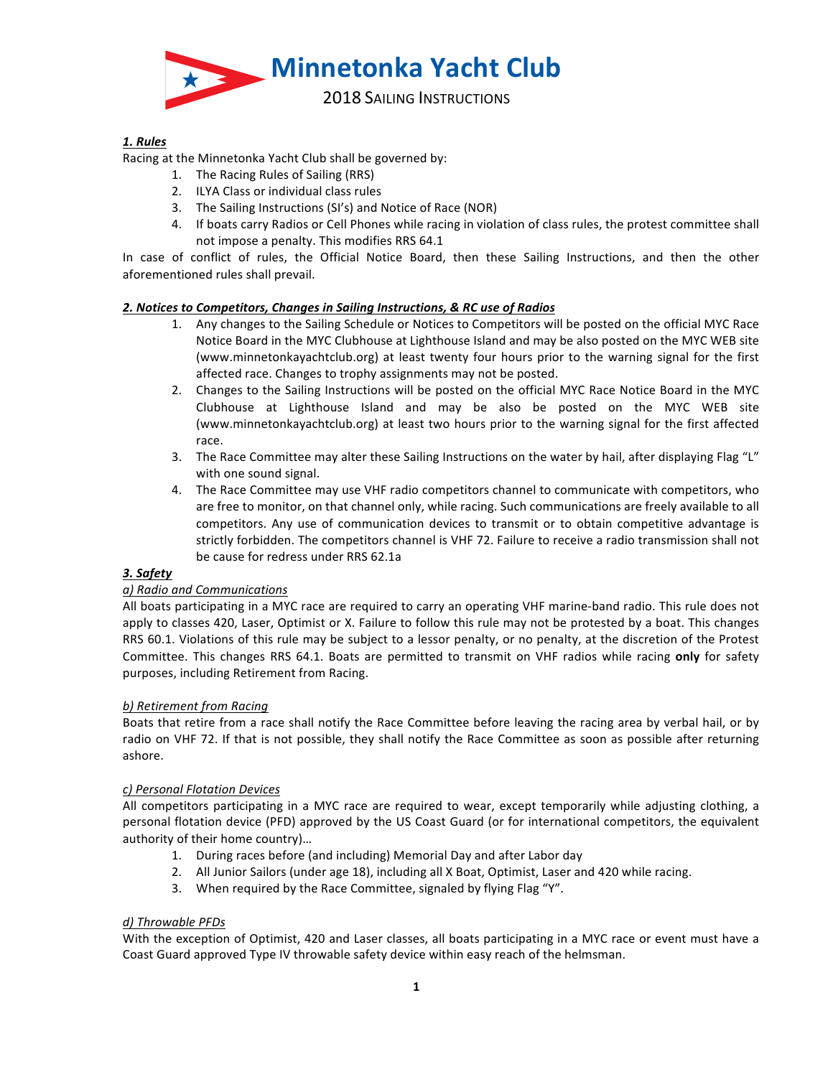

# *1. Rules*

Racing at the Minnetonka Yacht Club shall be governed by:

- 1. The Racing Rules of Sailing (RRS)
- 2. ILYA Class or individual class rules
- 3. The Sailing Instructions (SI's) and Notice of Race (NOR)
- 4. If boats carry Radios or Cell Phones while racing in violation of class rules, the protest committee shall not impose a penalty. This modifies RRS 64.1

In case of conflict of rules, the Official Notice Board, then these Sailing Instructions, and then the other aforementioned rules shall prevail.

### 2. Notices to Competitors, Changes in Sailing Instructions, & RC use of Radios

- 1. Any changes to the Sailing Schedule or Notices to Competitors will be posted on the official MYC Race Notice Board in the MYC Clubhouse at Lighthouse Island and may be also posted on the MYC WEB site (www.minnetonkayachtclub.org) at least twenty four hours prior to the warning signal for the first affected race. Changes to trophy assignments may not be posted.
- 2. Changes to the Sailing Instructions will be posted on the official MYC Race Notice Board in the MYC Clubhouse at Lighthouse Island and may be also be posted on the MYC WEB site (www.minnetonkayachtclub.org) at least two hours prior to the warning signal for the first affected race.
- 3. The Race Committee may alter these Sailing Instructions on the water by hail, after displaying Flag "L" with one sound signal.
- 4. The Race Committee may use VHF radio competitors channel to communicate with competitors, who are free to monitor, on that channel only, while racing. Such communications are freely available to all competitors. Any use of communication devices to transmit or to obtain competitive advantage is strictly forbidden. The competitors channel is VHF 72. Failure to receive a radio transmission shall not be cause for redress under RRS 62.1a

# *3. Safety*

# *a) Radio and Communications*

All boats participating in a MYC race are required to carry an operating VHF marine-band radio. This rule does not apply to classes 420, Laser, Optimist or X. Failure to follow this rule may not be protested by a boat. This changes RRS 60.1. Violations of this rule may be subject to a lessor penalty, or no penalty, at the discretion of the Protest Committee. This changes RRS 64.1. Boats are permitted to transmit on VHF radios while racing only for safety purposes, including Retirement from Racing.

#### *b) Retirement from Racing*

Boats that retire from a race shall notify the Race Committee before leaving the racing area by verbal hail, or by radio on VHF 72. If that is not possible, they shall notify the Race Committee as soon as possible after returning ashore.

#### *c) Personal Flotation Devices*

All competitors participating in a MYC race are required to wear, except temporarily while adjusting clothing, a personal flotation device (PFD) approved by the US Coast Guard (or for international competitors, the equivalent authority of their home country)...

- 1. During races before (and including) Memorial Day and after Labor day
- 2. All Junior Sailors (under age 18), including all X Boat, Optimist, Laser and 420 while racing.
- 3. When required by the Race Committee, signaled by flying Flag "Y".

# *d) Throwable PFDs*

With the exception of Optimist, 420 and Laser classes, all boats participating in a MYC race or event must have a Coast Guard approved Type IV throwable safety device within easy reach of the helmsman.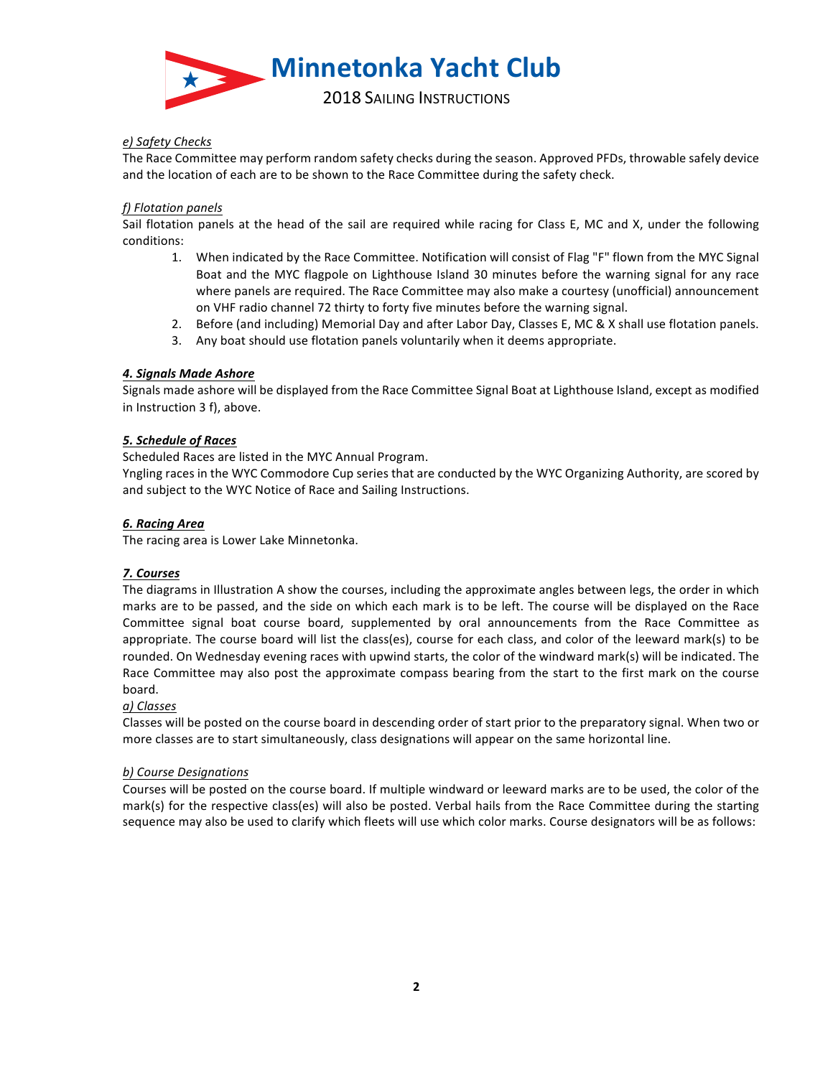

# *e) Safety Checks*

The Race Committee may perform random safety checks during the season. Approved PFDs, throwable safely device and the location of each are to be shown to the Race Committee during the safety check.

## *f) Flotation panels*

Sail flotation panels at the head of the sail are required while racing for Class E, MC and X, under the following conditions:

- 1. When indicated by the Race Committee. Notification will consist of Flag "F" flown from the MYC Signal Boat and the MYC flagpole on Lighthouse Island 30 minutes before the warning signal for any race where panels are required. The Race Committee may also make a courtesy (unofficial) announcement on VHF radio channel 72 thirty to forty five minutes before the warning signal.
- 2. Before (and including) Memorial Day and after Labor Day, Classes E, MC & X shall use flotation panels.
- 3. Any boat should use flotation panels voluntarily when it deems appropriate.

# *4. Signals Made Ashore*

Signals made ashore will be displayed from the Race Committee Signal Boat at Lighthouse Island, except as modified in Instruction 3 f), above.

### *5. Schedule of Races*

Scheduled Races are listed in the MYC Annual Program.

Yngling races in the WYC Commodore Cup series that are conducted by the WYC Organizing Authority, are scored by and subject to the WYC Notice of Race and Sailing Instructions.

### *6. Racing Area*

The racing area is Lower Lake Minnetonka.

# *7. Courses*

The diagrams in Illustration A show the courses, including the approximate angles between legs, the order in which marks are to be passed, and the side on which each mark is to be left. The course will be displayed on the Race Committee signal boat course board, supplemented by oral announcements from the Race Committee as appropriate. The course board will list the class(es), course for each class, and color of the leeward mark(s) to be rounded. On Wednesday evening races with upwind starts, the color of the windward mark(s) will be indicated. The Race Committee may also post the approximate compass bearing from the start to the first mark on the course board.

# *a) Classes*

Classes will be posted on the course board in descending order of start prior to the preparatory signal. When two or more classes are to start simultaneously, class designations will appear on the same horizontal line.

#### *b) Course Designations*

Courses will be posted on the course board. If multiple windward or leeward marks are to be used, the color of the mark(s) for the respective class(es) will also be posted. Verbal hails from the Race Committee during the starting sequence may also be used to clarify which fleets will use which color marks. Course designators will be as follows: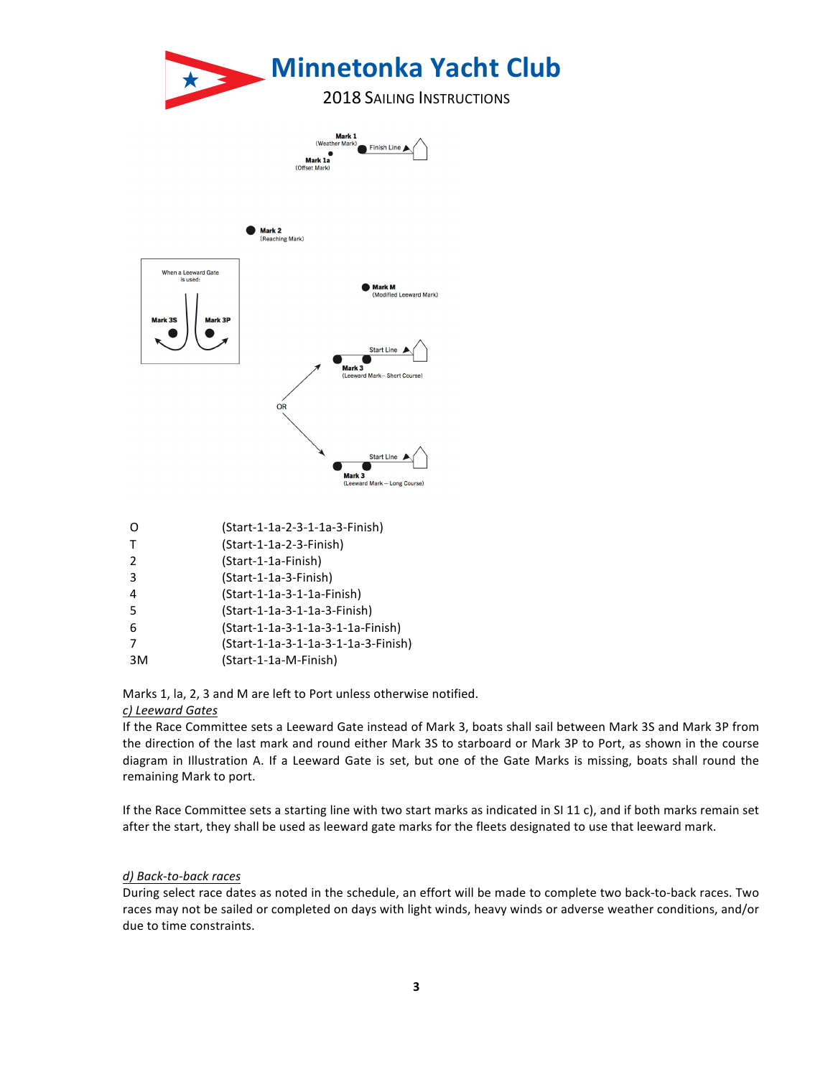

|               | (Start-1-1a-2-3-1-1a-3-Finish)      |
|---------------|-------------------------------------|
| Т             | (Start-1-1a-2-3-Finish)             |
| $\mathcal{P}$ | (Start-1-1a-Finish)                 |
| 3             | (Start-1-1a-3-Finish)               |
| 4             | (Start-1-1a-3-1-1a-Finish)          |
| 5             | (Start-1-1a-3-1-1a-3-Finish)        |
| 6             | (Start-1-1a-3-1-1a-3-1-1a-Finish)   |
|               | (Start-1-1a-3-1-1a-3-1-1a-3-Finish) |
| 3M            | (Start-1-1a-M-Finish)               |
|               |                                     |

Marks 1, la, 2, 3 and M are left to Port unless otherwise notified.

# *c) Leeward Gates*

If the Race Committee sets a Leeward Gate instead of Mark 3, boats shall sail between Mark 3S and Mark 3P from the direction of the last mark and round either Mark 3S to starboard or Mark 3P to Port, as shown in the course diagram in Illustration A. If a Leeward Gate is set, but one of the Gate Marks is missing, boats shall round the remaining Mark to port.

If the Race Committee sets a starting line with two start marks as indicated in SI 11 c), and if both marks remain set after the start, they shall be used as leeward gate marks for the fleets designated to use that leeward mark.

## *d) Back-to-back races*

During select race dates as noted in the schedule, an effort will be made to complete two back-to-back races. Two races may not be sailed or completed on days with light winds, heavy winds or adverse weather conditions, and/or due to time constraints.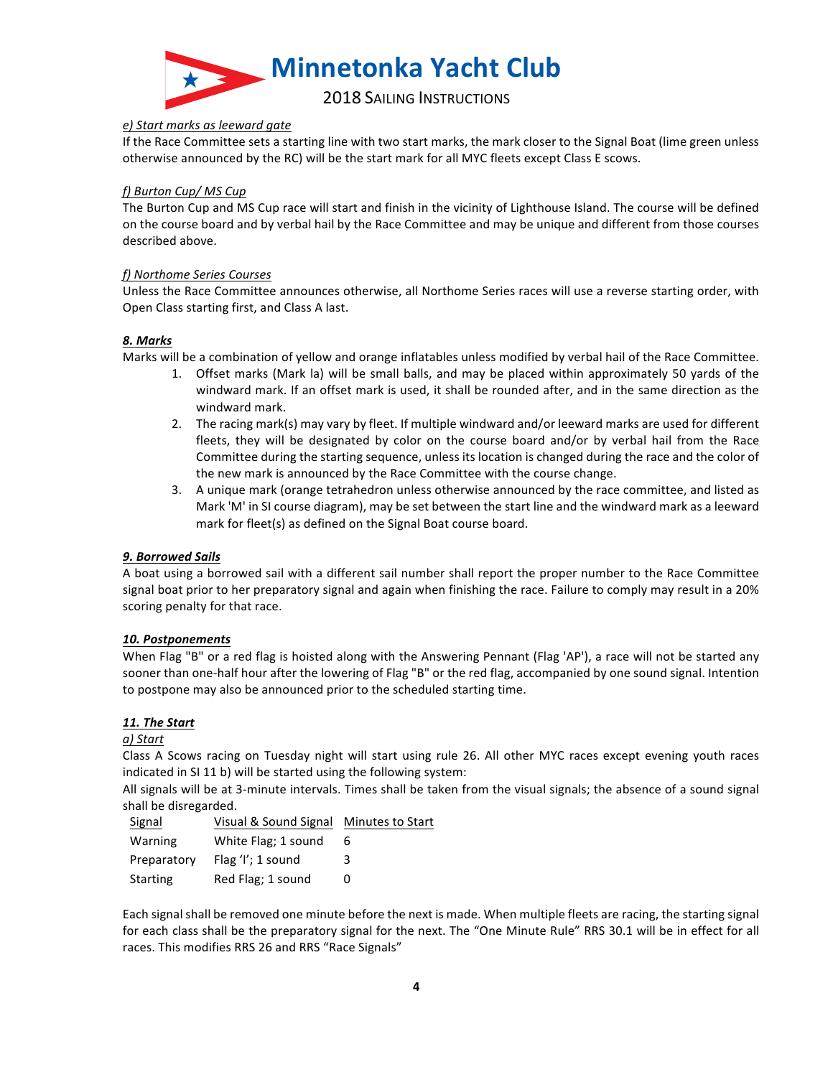

### *e) Start marks as leeward gate*

If the Race Committee sets a starting line with two start marks, the mark closer to the Signal Boat (lime green unless otherwise announced by the RC) will be the start mark for all MYC fleets except Class E scows.

## f) Burton Cup/ MS Cup

The Burton Cup and MS Cup race will start and finish in the vicinity of Lighthouse Island. The course will be defined on the course board and by verbal hail by the Race Committee and may be unique and different from those courses described above.

### *f) Northome Series Courses*

Unless the Race Committee announces otherwise, all Northome Series races will use a reverse starting order, with Open Class starting first, and Class A last.

### *8. Marks*

Marks will be a combination of yellow and orange inflatables unless modified by verbal hail of the Race Committee.

- 1. Offset marks (Mark la) will be small balls, and may be placed within approximately 50 yards of the windward mark. If an offset mark is used, it shall be rounded after, and in the same direction as the windward mark.
- 2. The racing mark(s) may vary by fleet. If multiple windward and/or leeward marks are used for different fleets, they will be designated by color on the course board and/or by verbal hail from the Race Committee during the starting sequence, unless its location is changed during the race and the color of the new mark is announced by the Race Committee with the course change.
- 3. A unique mark (orange tetrahedron unless otherwise announced by the race committee, and listed as Mark 'M' in SI course diagram), may be set between the start line and the windward mark as a leeward mark for fleet(s) as defined on the Signal Boat course board.

# *9. Borrowed Sails*

A boat using a borrowed sail with a different sail number shall report the proper number to the Race Committee signal boat prior to her preparatory signal and again when finishing the race. Failure to comply may result in a 20% scoring penalty for that race.

#### *10. Postponements*

When Flag "B" or a red flag is hoisted along with the Answering Pennant (Flag 'AP'), a race will not be started any sooner than one-half hour after the lowering of Flag "B" or the red flag, accompanied by one sound signal. Intention to postpone may also be announced prior to the scheduled starting time.

# *11. The Start*

#### *a) Start*

Class A Scows racing on Tuesday night will start using rule 26. All other MYC races except evening youth races indicated in SI 11 b) will be started using the following system:

All signals will be at 3-minute intervals. Times shall be taken from the visual signals; the absence of a sound signal shall be disregarded.

| Signal      | Visual & Sound Signal Minutes to Start |   |
|-------------|----------------------------------------|---|
| Warning     | White Flag; 1 sound                    | 6 |
| Preparatory | Flag 'I'; 1 sound                      | 3 |
| Starting    | Red Flag; 1 sound                      | 0 |
|             |                                        |   |

Each signal shall be removed one minute before the next is made. When multiple fleets are racing, the starting signal for each class shall be the preparatory signal for the next. The "One Minute Rule" RRS 30.1 will be in effect for all races. This modifies RRS 26 and RRS "Race Signals"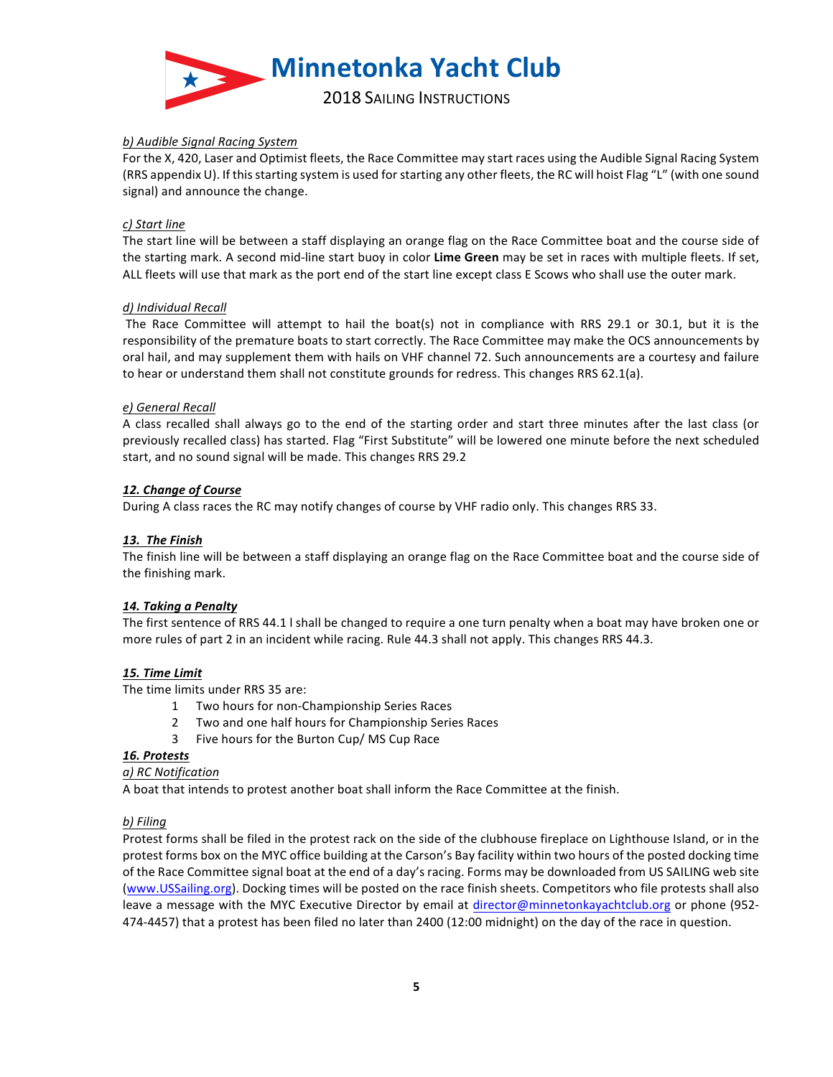

# *b) Audible Signal Racing System*

For the X, 420, Laser and Optimist fleets, the Race Committee may start races using the Audible Signal Racing System (RRS appendix U). If this starting system is used for starting any other fleets, the RC will hoist Flag "L" (with one sound signal) and announce the change.

### *c) Start line*

The start line will be between a staff displaying an orange flag on the Race Committee boat and the course side of the starting mark. A second mid-line start buoy in color **Lime Green** may be set in races with multiple fleets. If set, ALL fleets will use that mark as the port end of the start line except class E Scows who shall use the outer mark.

#### *d) Individual Recall*

The Race Committee will attempt to hail the boat(s) not in compliance with RRS 29.1 or 30.1, but it is the responsibility of the premature boats to start correctly. The Race Committee may make the OCS announcements by oral hail, and may supplement them with hails on VHF channel 72. Such announcements are a courtesy and failure to hear or understand them shall not constitute grounds for redress. This changes RRS 62.1(a).

### *e) General Recall*

A class recalled shall always go to the end of the starting order and start three minutes after the last class (or previously recalled class) has started. Flag "First Substitute" will be lowered one minute before the next scheduled start, and no sound signal will be made. This changes RRS 29.2

### *12. Change of Course*

During A class races the RC may notify changes of course by VHF radio only. This changes RRS 33.

## *13. The Finish*

The finish line will be between a staff displaying an orange flag on the Race Committee boat and the course side of the finishing mark.

#### 14. Taking a Penalty

The first sentence of RRS 44.1 I shall be changed to require a one turn penalty when a boat may have broken one or more rules of part 2 in an incident while racing. Rule 44.3 shall not apply. This changes RRS 44.3.

# *15. Time Limit*

The time limits under RRS 35 are:

- 1 Two hours for non-Championship Series Races
- 2 Two and one half hours for Championship Series Races
- 3 Five hours for the Burton Cup/ MS Cup Race

#### *16. Protests*

*a) RC Notification*

A boat that intends to protest another boat shall inform the Race Committee at the finish.

# *b) Filing*

Protest forms shall be filed in the protest rack on the side of the clubhouse fireplace on Lighthouse Island, or in the protest forms box on the MYC office building at the Carson's Bay facility within two hours of the posted docking time of the Race Committee signal boat at the end of a day's racing. Forms may be downloaded from US SAILING web site (www.USSailing.org). Docking times will be posted on the race finish sheets. Competitors who file protests shall also leave a message with the MYC Executive Director by email at director@minnetonkayachtclub.org or phone (952-474-4457) that a protest has been filed no later than 2400 (12:00 midnight) on the day of the race in question.